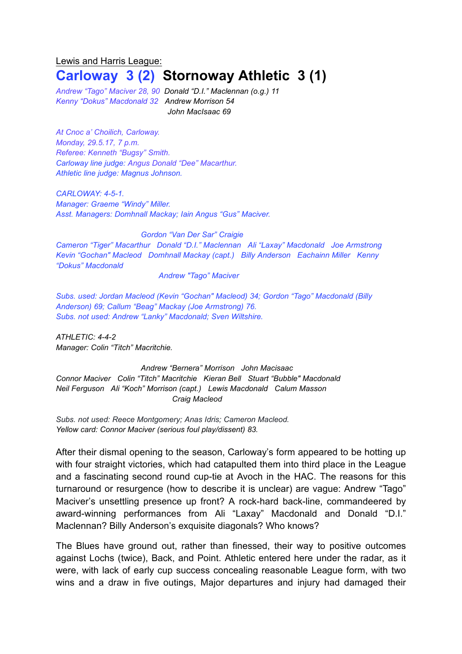## Lewis and Harris League: **Carloway 3 (2) Stornoway Athletic 3 (1)**

*Andrew "Tago" Maciver 28, 90 Donald "D.I." Maclennan (o.g.) 11 Kenny "Dokus" Macdonald 32 Andrew Morrison 54 John MacIsaac 69*

*At Cnoc a' Choilich, Carloway. Monday, 29.5.17, 7 p.m. Referee: Kenneth "Bugsy" Smith. Carloway line judge: Angus Donald "Dee" Macarthur. Athletic line judge: Magnus Johnson.*

*CARLOWAY: 4-5-1. Manager: Graeme "Windy" Miller. Asst. Managers: Domhnall Mackay; Iain Angus "Gus" Maciver.*

*Gordon "Van Der Sar" Craigie Cameron "Tiger" Macarthur Donald "D.I." Maclennan Ali "Laxay" Macdonald Joe Armstrong Kevin "Gochan" Macleod Domhnall Mackay (capt.) Billy Anderson Eachainn Miller Kenny "Dokus" Macdonald*

*Andrew "Tago" Maciver*

*Subs. used: Jordan Macleod (Kevin "Gochan" Macleod) 34; Gordon "Tago" Macdonald (Billy Anderson) 69; Callum "Beag" Mackay (Joe Armstrong) 76. Subs. not used: Andrew "Lanky" Macdonald; Sven Wiltshire.*

*ATHLETIC: 4-4-2 Manager: Colin "Titch" Macritchie.*

*Andrew "Bernera" Morrison John Macisaac Connor Maciver Colin "Titch" Macritchie Kieran Bell Stuart "Bubble" Macdonald Neil Ferguson Ali "Koch" Morrison (capt.) Lewis Macdonald Calum Masson Craig Macleod*

*Subs. not used: Reece Montgomery; Anas Idris; Cameron Macleod. Yellow card: Connor Maciver (serious foul play/dissent) 83.*

After their dismal opening to the season, Carloway's form appeared to be hotting up with four straight victories, which had catapulted them into third place in the League and a fascinating second round cup-tie at Avoch in the HAC. The reasons for this turnaround or resurgence (how to describe it is unclear) are vague: Andrew "Tago" Maciver's unsettling presence up front? A rock-hard back-line, commandeered by award-winning performances from Ali "Laxay" Macdonald and Donald "D.I." Maclennan? Billy Anderson's exquisite diagonals? Who knows?

The Blues have ground out, rather than finessed, their way to positive outcomes against Lochs (twice), Back, and Point. Athletic entered here under the radar, as it were, with lack of early cup success concealing reasonable League form, with two wins and a draw in five outings, Major departures and injury had damaged their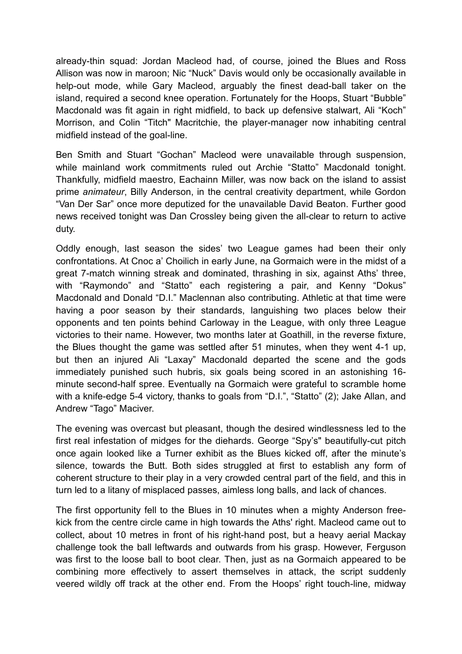already-thin squad: Jordan Macleod had, of course, joined the Blues and Ross Allison was now in maroon; Nic "Nuck" Davis would only be occasionally available in help-out mode, while Gary Macleod, arguably the finest dead-ball taker on the island, required a second knee operation. Fortunately for the Hoops, Stuart "Bubble" Macdonald was fit again in right midfield, to back up defensive stalwart, Ali "Koch" Morrison, and Colin "Titch" Macritchie, the player-manager now inhabiting central midfield instead of the goal-line.

Ben Smith and Stuart "Gochan" Macleod were unavailable through suspension, while mainland work commitments ruled out Archie "Statto" Macdonald tonight. Thankfully, midfield maestro, Eachainn Miller, was now back on the island to assist prime *animateur*, Billy Anderson, in the central creativity department, while Gordon "Van Der Sar" once more deputized for the unavailable David Beaton. Further good news received tonight was Dan Crossley being given the all-clear to return to active duty.

Oddly enough, last season the sides' two League games had been their only confrontations. At Cnoc a' Choilich in early June, na Gormaich were in the midst of a great 7-match winning streak and dominated, thrashing in six, against Aths' three, with "Raymondo" and "Statto" each registering a pair, and Kenny "Dokus" Macdonald and Donald "D.I." Maclennan also contributing. Athletic at that time were having a poor season by their standards, languishing two places below their opponents and ten points behind Carloway in the League, with only three League victories to their name. However, two months later at Goathill, in the reverse fixture, the Blues thought the game was settled after 51 minutes, when they went 4-1 up, but then an injured Ali "Laxay" Macdonald departed the scene and the gods immediately punished such hubris, six goals being scored in an astonishing 16 minute second-half spree. Eventually na Gormaich were grateful to scramble home with a knife-edge 5-4 victory, thanks to goals from "D.I.", "Statto" (2); Jake Allan, and Andrew "Tago" Maciver.

The evening was overcast but pleasant, though the desired windlessness led to the first real infestation of midges for the diehards. George "Spy's" beautifully-cut pitch once again looked like a Turner exhibit as the Blues kicked off, after the minute's silence, towards the Butt. Both sides struggled at first to establish any form of coherent structure to their play in a very crowded central part of the field, and this in turn led to a litany of misplaced passes, aimless long balls, and lack of chances.

The first opportunity fell to the Blues in 10 minutes when a mighty Anderson freekick from the centre circle came in high towards the Aths' right. Macleod came out to collect, about 10 metres in front of his right-hand post, but a heavy aerial Mackay challenge took the ball leftwards and outwards from his grasp. However, Ferguson was first to the loose ball to boot clear. Then, just as na Gormaich appeared to be combining more effectively to assert themselves in attack, the script suddenly veered wildly off track at the other end. From the Hoops' right touch-line, midway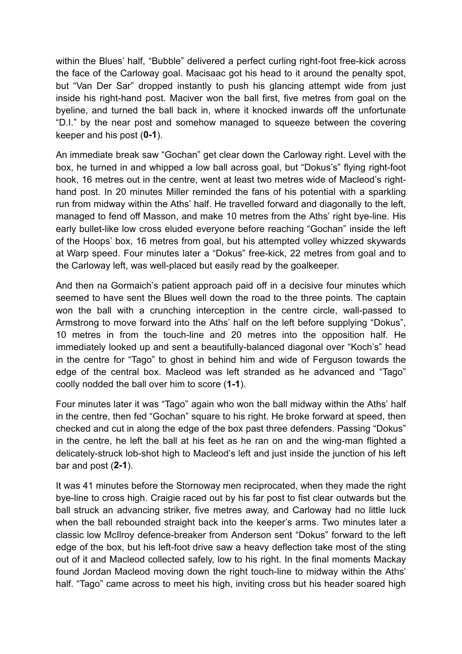within the Blues' half, "Bubble" delivered a perfect curling right-foot free-kick across the face of the Carloway goal. Macisaac got his head to it around the penalty spot, but "Van Der Sar" dropped instantly to push his glancing attempt wide from just inside his right-hand post. Maciver won the ball first, five metres from goal on the byeline, and turned the ball back in, where it knocked inwards off the unfortunate "D.I." by the near post and somehow managed to squeeze between the covering keeper and his post (**0-1**).

An immediate break saw "Gochan" get clear down the Carloway right. Level with the box, he turned in and whipped a low ball across goal, but "Dokus's" flying right-foot hook, 16 metres out in the centre, went at least two metres wide of Macleod's righthand post. In 20 minutes Miller reminded the fans of his potential with a sparkling run from midway within the Aths' half. He travelled forward and diagonally to the left, managed to fend off Masson, and make 10 metres from the Aths' right bye-line. His early bullet-like low cross eluded everyone before reaching "Gochan" inside the left of the Hoops' box, 16 metres from goal, but his attempted volley whizzed skywards at Warp speed. Four minutes later a "Dokus" free-kick, 22 metres from goal and to the Carloway left, was well-placed but easily read by the goalkeeper.

And then na Gormaich's patient approach paid off in a decisive four minutes which seemed to have sent the Blues well down the road to the three points. The captain won the ball with a crunching interception in the centre circle, wall-passed to Armstrong to move forward into the Aths' half on the left before supplying "Dokus", 10 metres in from the touch-line and 20 metres into the opposition half. He immediately looked up and sent a beautifully-balanced diagonal over "Koch's" head in the centre for "Tago" to ghost in behind him and wide of Ferguson towards the edge of the central box. Macleod was left stranded as he advanced and "Tago" coolly nodded the ball over him to score (**1-1**).

Four minutes later it was "Tago" again who won the ball midway within the Aths' half in the centre, then fed "Gochan" square to his right. He broke forward at speed, then checked and cut in along the edge of the box past three defenders. Passing "Dokus" in the centre, he left the ball at his feet as he ran on and the wing-man flighted a delicately-struck lob-shot high to Macleod's left and just inside the junction of his left bar and post (**2-1**).

It was 41 minutes before the Stornoway men reciprocated, when they made the right bye-line to cross high. Craigie raced out by his far post to fist clear outwards but the ball struck an advancing striker, five metres away, and Carloway had no little luck when the ball rebounded straight back into the keeper's arms. Two minutes later a classic low McIlroy defence-breaker from Anderson sent "Dokus" forward to the left edge of the box, but his left-foot drive saw a heavy deflection take most of the sting out of it and Macleod collected safely, low to his right. In the final moments Mackay found Jordan Macleod moving down the right touch-line to midway within the Aths' half. "Tago" came across to meet his high, inviting cross but his header soared high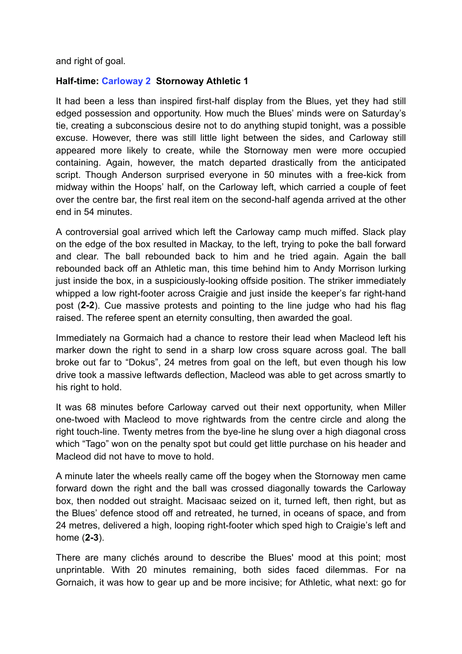and right of goal.

## **Half-time: Carloway 2 Stornoway Athletic 1**

It had been a less than inspired first-half display from the Blues, yet they had still edged possession and opportunity. How much the Blues' minds were on Saturday's tie, creating a subconscious desire not to do anything stupid tonight, was a possible excuse. However, there was still little light between the sides, and Carloway still appeared more likely to create, while the Stornoway men were more occupied containing. Again, however, the match departed drastically from the anticipated script. Though Anderson surprised everyone in 50 minutes with a free-kick from midway within the Hoops' half, on the Carloway left, which carried a couple of feet over the centre bar, the first real item on the second-half agenda arrived at the other end in 54 minutes.

A controversial goal arrived which left the Carloway camp much miffed. Slack play on the edge of the box resulted in Mackay, to the left, trying to poke the ball forward and clear. The ball rebounded back to him and he tried again. Again the ball rebounded back off an Athletic man, this time behind him to Andy Morrison lurking just inside the box, in a suspiciously-looking offside position. The striker immediately whipped a low right-footer across Craigie and just inside the keeper's far right-hand post (**2-2**). Cue massive protests and pointing to the line judge who had his flag raised. The referee spent an eternity consulting, then awarded the goal.

Immediately na Gormaich had a chance to restore their lead when Macleod left his marker down the right to send in a sharp low cross square across goal. The ball broke out far to "Dokus", 24 metres from goal on the left, but even though his low drive took a massive leftwards deflection, Macleod was able to get across smartly to his right to hold.

It was 68 minutes before Carloway carved out their next opportunity, when Miller one-twoed with Macleod to move rightwards from the centre circle and along the right touch-line. Twenty metres from the bye-line he slung over a high diagonal cross which "Tago" won on the penalty spot but could get little purchase on his header and Macleod did not have to move to hold.

A minute later the wheels really came off the bogey when the Stornoway men came forward down the right and the ball was crossed diagonally towards the Carloway box, then nodded out straight. Macisaac seized on it, turned left, then right, but as the Blues' defence stood off and retreated, he turned, in oceans of space, and from 24 metres, delivered a high, looping right-footer which sped high to Craigie's left and home (**2-3**).

There are many clichés around to describe the Blues' mood at this point; most unprintable. With 20 minutes remaining, both sides faced dilemmas. For na Gornaich, it was how to gear up and be more incisive; for Athletic, what next: go for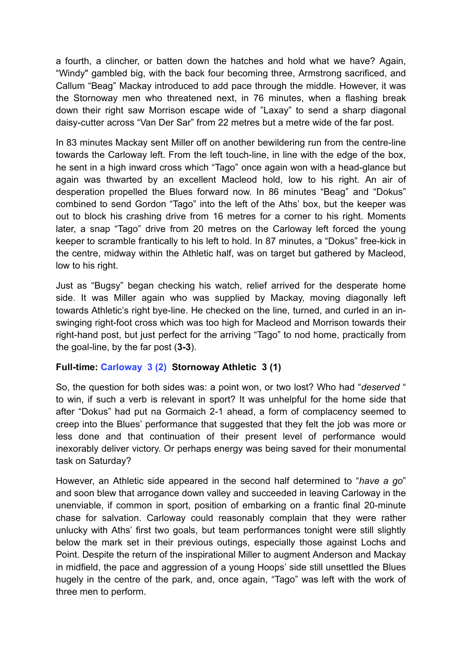a fourth, a clincher, or batten down the hatches and hold what we have? Again, "Windy" gambled big, with the back four becoming three, Armstrong sacrificed, and Callum "Beag" Mackay introduced to add pace through the middle. However, it was the Stornoway men who threatened next, in 76 minutes, when a flashing break down their right saw Morrison escape wide of "Laxay" to send a sharp diagonal daisy-cutter across "Van Der Sar" from 22 metres but a metre wide of the far post.

In 83 minutes Mackay sent Miller off on another bewildering run from the centre-line towards the Carloway left. From the left touch-line, in line with the edge of the box, he sent in a high inward cross which "Tago" once again won with a head-glance but again was thwarted by an excellent Macleod hold, low to his right. An air of desperation propelled the Blues forward now. In 86 minutes "Beag" and "Dokus" combined to send Gordon "Tago" into the left of the Aths' box, but the keeper was out to block his crashing drive from 16 metres for a corner to his right. Moments later, a snap "Tago" drive from 20 metres on the Carloway left forced the young keeper to scramble frantically to his left to hold. In 87 minutes, a "Dokus" free-kick in the centre, midway within the Athletic half, was on target but gathered by Macleod, low to his right.

Just as "Bugsy" began checking his watch, relief arrived for the desperate home side. It was Miller again who was supplied by Mackay, moving diagonally left towards Athletic's right bye-line. He checked on the line, turned, and curled in an inswinging right-foot cross which was too high for Macleod and Morrison towards their right-hand post, but just perfect for the arriving "Tago" to nod home, practically from the goal-line, by the far post (**3-3**).

## **Full-time: Carloway 3 (2) Stornoway Athletic 3 (1)**

So, the question for both sides was: a point won, or two lost? Who had "*deserved* " to win, if such a verb is relevant in sport? It was unhelpful for the home side that after "Dokus" had put na Gormaich 2-1 ahead, a form of complacency seemed to creep into the Blues' performance that suggested that they felt the job was more or less done and that continuation of their present level of performance would inexorably deliver victory. Or perhaps energy was being saved for their monumental task on Saturday?

However, an Athletic side appeared in the second half determined to "*have a go*" and soon blew that arrogance down valley and succeeded in leaving Carloway in the unenviable, if common in sport, position of embarking on a frantic final 20-minute chase for salvation. Carloway could reasonably complain that they were rather unlucky with Aths' first two goals, but team performances tonight were still slightly below the mark set in their previous outings, especially those against Lochs and Point. Despite the return of the inspirational Miller to augment Anderson and Mackay in midfield, the pace and aggression of a young Hoops' side still unsettled the Blues hugely in the centre of the park, and, once again, "Tago" was left with the work of three men to perform.